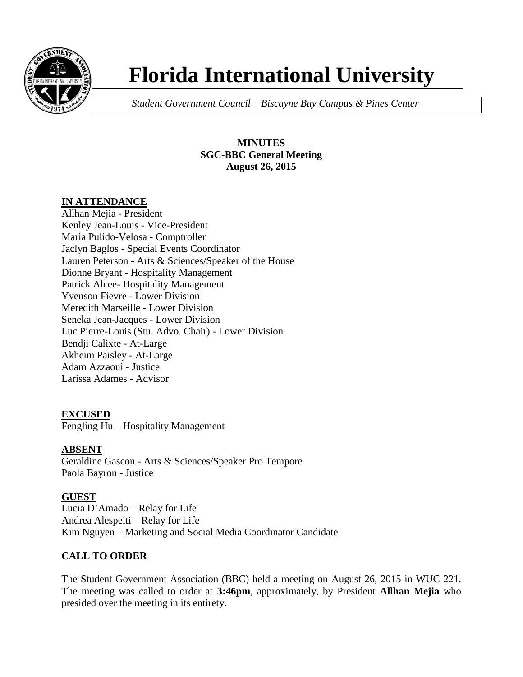

# **Florida International University**

*Student Government Council – Biscayne Bay Campus & Pines Center*

# **MINUTES SGC-BBC General Meeting August 26, 2015**

# **IN ATTENDANCE**

Allhan Mejia - President Kenley Jean-Louis - Vice-President Maria Pulido-Velosa - Comptroller Jaclyn Baglos - Special Events Coordinator Lauren Peterson - Arts & Sciences/Speaker of the House Dionne Bryant - Hospitality Management Patrick Alcee- Hospitality Management Yvenson Fievre - Lower Division Meredith Marseille - Lower Division Seneka Jean-Jacques - Lower Division Luc Pierre-Louis (Stu. Advo. Chair) - Lower Division Bendji Calixte - At-Large Akheim Paisley - At-Large Adam Azzaoui - Justice Larissa Adames - Advisor

# **EXCUSED**

Fengling Hu – Hospitality Management

# **ABSENT**

Geraldine Gascon - Arts & Sciences/Speaker Pro Tempore Paola Bayron - Justice

# **GUEST**

Lucia D'Amado – Relay for Life Andrea Alespeiti – Relay for Life Kim Nguyen – Marketing and Social Media Coordinator Candidate

# **CALL TO ORDER**

The Student Government Association (BBC) held a meeting on August 26, 2015 in WUC 221. The meeting was called to order at **3:46pm**, approximately, by President **Allhan Mejia** who presided over the meeting in its entirety.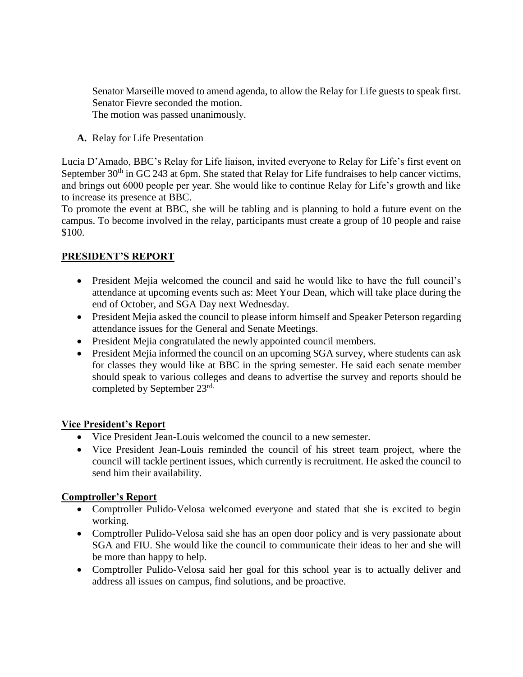Senator Marseille moved to amend agenda, to allow the Relay for Life guests to speak first. Senator Fievre seconded the motion. The motion was passed unanimously.

**A.** Relay for Life Presentation

Lucia D'Amado, BBC's Relay for Life liaison, invited everyone to Relay for Life's first event on September  $30<sup>th</sup>$  in GC 243 at 6pm. She stated that Relay for Life fundraises to help cancer victims, and brings out 6000 people per year. She would like to continue Relay for Life's growth and like to increase its presence at BBC.

To promote the event at BBC, she will be tabling and is planning to hold a future event on the campus. To become involved in the relay, participants must create a group of 10 people and raise \$100.

# **PRESIDENT'S REPORT**

- President Mejia welcomed the council and said he would like to have the full council's attendance at upcoming events such as: Meet Your Dean, which will take place during the end of October, and SGA Day next Wednesday.
- President Mejia asked the council to please inform himself and Speaker Peterson regarding attendance issues for the General and Senate Meetings.
- President Mejia congratulated the newly appointed council members.
- President Mejia informed the council on an upcoming SGA survey, where students can ask for classes they would like at BBC in the spring semester. He said each senate member should speak to various colleges and deans to advertise the survey and reports should be completed by September 23rd.

#### **Vice President's Report**

- Vice President Jean-Louis welcomed the council to a new semester.
- Vice President Jean-Louis reminded the council of his street team project, where the council will tackle pertinent issues, which currently is recruitment. He asked the council to send him their availability.

# **Comptroller's Report**

- Comptroller Pulido-Velosa welcomed everyone and stated that she is excited to begin working.
- Comptroller Pulido-Velosa said she has an open door policy and is very passionate about SGA and FIU. She would like the council to communicate their ideas to her and she will be more than happy to help.
- Comptroller Pulido-Velosa said her goal for this school year is to actually deliver and address all issues on campus, find solutions, and be proactive.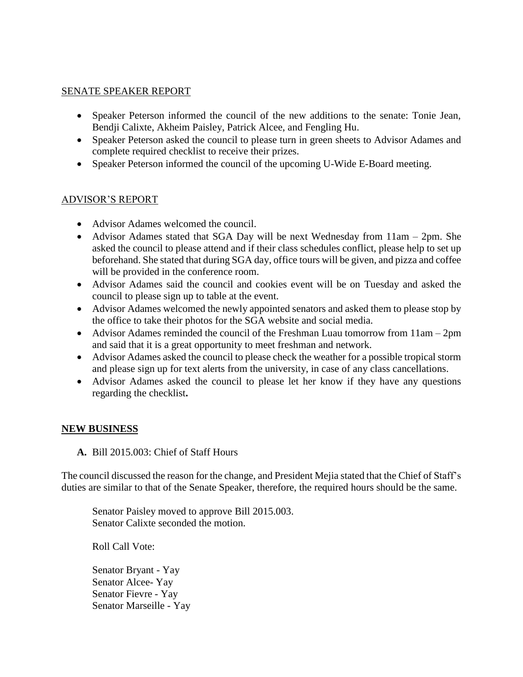#### SENATE SPEAKER REPORT

- Speaker Peterson informed the council of the new additions to the senate: Tonie Jean, Bendji Calixte, Akheim Paisley, Patrick Alcee, and Fengling Hu.
- Speaker Peterson asked the council to please turn in green sheets to Advisor Adames and complete required checklist to receive their prizes.
- Speaker Peterson informed the council of the upcoming U-Wide E-Board meeting.

#### ADVISOR'S REPORT

- Advisor Adames welcomed the council.
- Advisor Adames stated that SGA Day will be next Wednesday from 11am 2pm. She asked the council to please attend and if their class schedules conflict, please help to set up beforehand. She stated that during SGA day, office tours will be given, and pizza and coffee will be provided in the conference room.
- Advisor Adames said the council and cookies event will be on Tuesday and asked the council to please sign up to table at the event.
- Advisor Adames welcomed the newly appointed senators and asked them to please stop by the office to take their photos for the SGA website and social media.
- Advisor Adames reminded the council of the Freshman Luau tomorrow from 11am 2pm and said that it is a great opportunity to meet freshman and network.
- Advisor Adames asked the council to please check the weather for a possible tropical storm and please sign up for text alerts from the university, in case of any class cancellations.
- Advisor Adames asked the council to please let her know if they have any questions regarding the checklist**.**

#### **NEW BUSINESS**

**A.** Bill 2015.003: Chief of Staff Hours

The council discussed the reason for the change, and President Mejia stated that the Chief of Staff's duties are similar to that of the Senate Speaker, therefore, the required hours should be the same.

Senator Paisley moved to approve Bill 2015.003. Senator Calixte seconded the motion.

Roll Call Vote:

Senator Bryant - Yay Senator Alcee- Yay Senator Fievre - Yay Senator Marseille - Yay